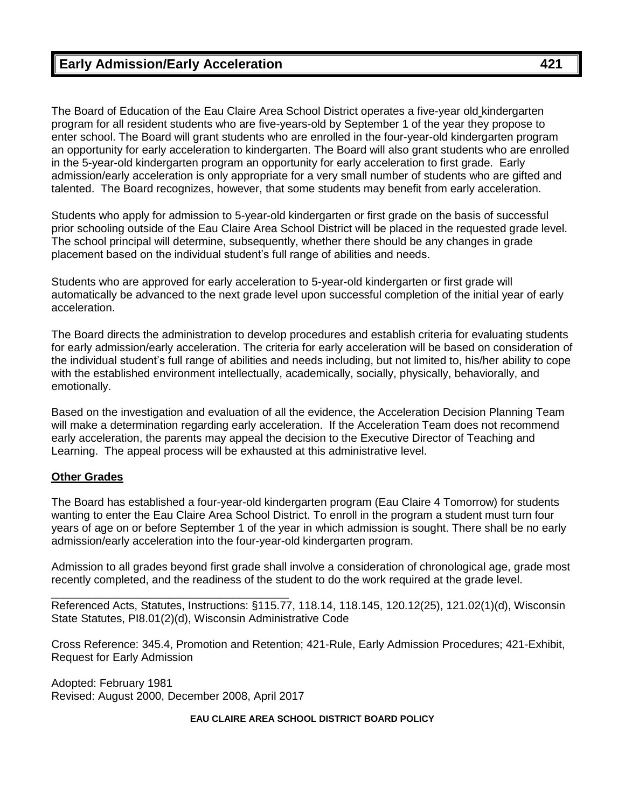The Board of Education of the Eau Claire Area School District operates a five-year old kindergarten program for all resident students who are five-years-old by September 1 of the year they propose to enter school. The Board will grant students who are enrolled in the four-year-old kindergarten program an opportunity for early acceleration to kindergarten. The Board will also grant students who are enrolled in the 5-year-old kindergarten program an opportunity for early acceleration to first grade. Early admission/early acceleration is only appropriate for a very small number of students who are gifted and talented. The Board recognizes, however, that some students may benefit from early acceleration.

Students who apply for admission to 5-year-old kindergarten or first grade on the basis of successful prior schooling outside of the Eau Claire Area School District will be placed in the requested grade level. The school principal will determine, subsequently, whether there should be any changes in grade placement based on the individual student's full range of abilities and needs.

Students who are approved for early acceleration to 5-year-old kindergarten or first grade will automatically be advanced to the next grade level upon successful completion of the initial year of early acceleration.

The Board directs the administration to develop procedures and establish criteria for evaluating students for early admission/early acceleration. The criteria for early acceleration will be based on consideration of the individual student's full range of abilities and needs including, but not limited to, his/her ability to cope with the established environment intellectually, academically, socially, physically, behaviorally, and emotionally.

Based on the investigation and evaluation of all the evidence, the Acceleration Decision Planning Team will make a determination regarding early acceleration. If the Acceleration Team does not recommend early acceleration, the parents may appeal the decision to the Executive Director of Teaching and Learning. The appeal process will be exhausted at this administrative level.

### **Other Grades**

The Board has established a four-year-old kindergarten program (Eau Claire 4 Tomorrow) for students wanting to enter the Eau Claire Area School District. To enroll in the program a student must turn four years of age on or before September 1 of the year in which admission is sought. There shall be no early admission/early acceleration into the four-year-old kindergarten program.

Admission to all grades beyond first grade shall involve a consideration of chronological age, grade most recently completed, and the readiness of the student to do the work required at the grade level.

Referenced Acts, Statutes, Instructions: §115.77, 118.14, 118.145, 120.12(25), 121.02(1)(d), Wisconsin State Statutes, PI8.01(2)(d), Wisconsin Administrative Code

Cross Reference: 345.4, Promotion and Retention; 421-Rule, Early Admission Procedures; 421-Exhibit, Request for Early Admission

Adopted: February 1981 Revised: August 2000, December 2008, April 2017

\_\_\_\_\_\_\_\_\_\_\_\_\_\_\_\_\_\_\_\_\_\_\_\_\_\_\_\_\_\_\_\_\_\_\_\_\_\_

#### **EAU CLAIRE AREA SCHOOL DISTRICT BOARD POLICY**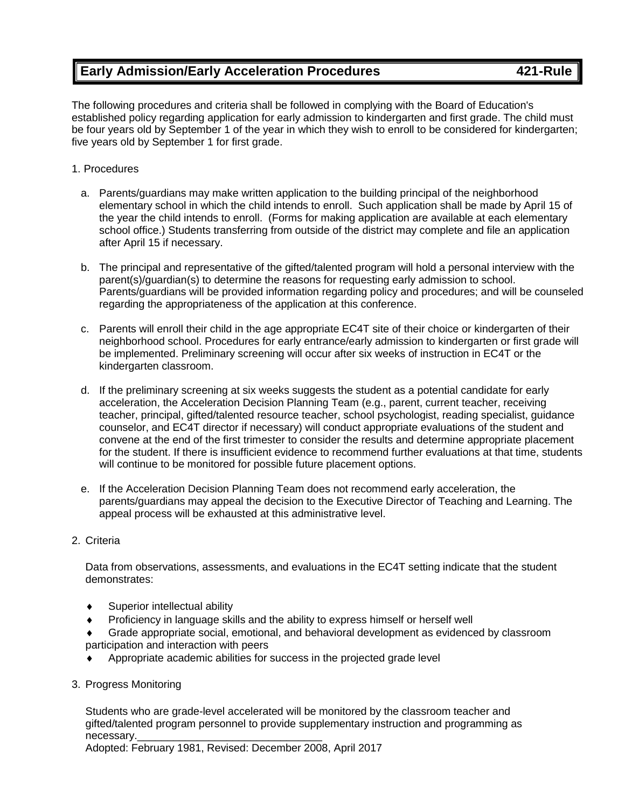# **Early Admission/Early Acceleration Procedures 421-Rule**

The following procedures and criteria shall be followed in complying with the Board of Education's established policy regarding application for early admission to kindergarten and first grade. The child must be four years old by September 1 of the year in which they wish to enroll to be considered for kindergarten; five years old by September 1 for first grade.

#### 1. Procedures

- a. Parents/guardians may make written application to the building principal of the neighborhood elementary school in which the child intends to enroll. Such application shall be made by April 15 of the year the child intends to enroll. (Forms for making application are available at each elementary school office.) Students transferring from outside of the district may complete and file an application after April 15 if necessary.
- b. The principal and representative of the gifted/talented program will hold a personal interview with the parent(s)/guardian(s) to determine the reasons for requesting early admission to school. Parents/guardians will be provided information regarding policy and procedures; and will be counseled regarding the appropriateness of the application at this conference.
- c. Parents will enroll their child in the age appropriate EC4T site of their choice or kindergarten of their neighborhood school. Procedures for early entrance/early admission to kindergarten or first grade will be implemented. Preliminary screening will occur after six weeks of instruction in EC4T or the kindergarten classroom.
- d. If the preliminary screening at six weeks suggests the student as a potential candidate for early acceleration, the Acceleration Decision Planning Team (e.g., parent, current teacher, receiving teacher, principal, gifted/talented resource teacher, school psychologist, reading specialist, guidance counselor, and EC4T director if necessary) will conduct appropriate evaluations of the student and convene at the end of the first trimester to consider the results and determine appropriate placement for the student. If there is insufficient evidence to recommend further evaluations at that time, students will continue to be monitored for possible future placement options.
- e. If the Acceleration Decision Planning Team does not recommend early acceleration, the parents/guardians may appeal the decision to the Executive Director of Teaching and Learning. The appeal process will be exhausted at this administrative level.

#### 2. Criteria

Data from observations, assessments, and evaluations in the EC4T setting indicate that the student demonstrates:

- Superior intellectual ability
- Proficiency in language skills and the ability to express himself or herself well
- Grade appropriate social, emotional, and behavioral development as evidenced by classroom participation and interaction with peers
- Appropriate academic abilities for success in the projected grade level
- 3. Progress Monitoring

Students who are grade-level accelerated will be monitored by the classroom teacher and gifted/talented program personnel to provide supplementary instruction and programming as necessary.

Adopted: February 1981, Revised: December 2008, April 2017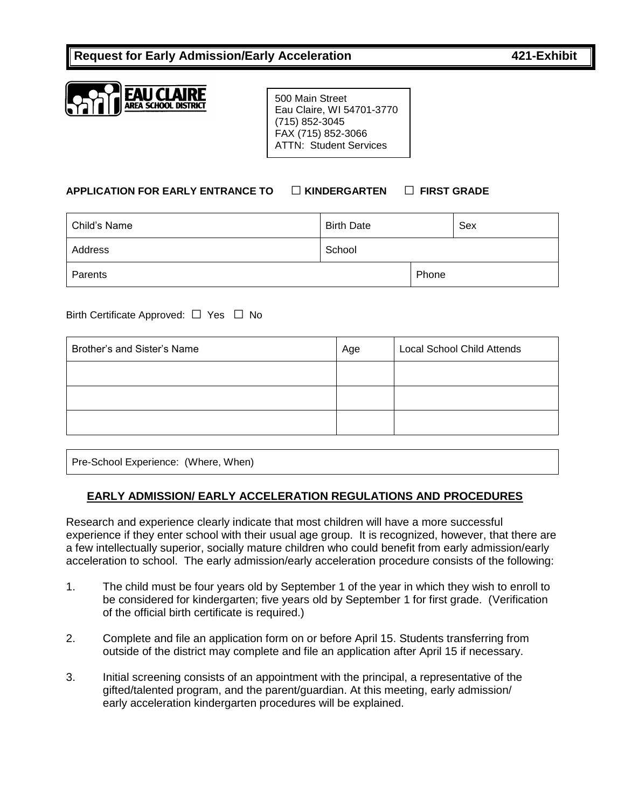

500 Main Street Eau Claire, WI 54701-3770 (715) 852-3045 FAX (715) 852-3066 ATTN: Student Services

## **APPLICATION FOR EARLY ENTRANCE TO** □ **KINDERGARTEN** □ **FIRST GRADE**

| Child's Name | <b>Birth Date</b> |       | Sex |
|--------------|-------------------|-------|-----|
| Address      | School            |       |     |
| Parents      |                   | Phone |     |

Birth Certificate Approved: □ Yes □ No

| Brother's and Sister's Name | Age | <b>Local School Child Attends</b> |  |
|-----------------------------|-----|-----------------------------------|--|
|                             |     |                                   |  |
|                             |     |                                   |  |
|                             |     |                                   |  |

Pre-School Experience: (Where, When)

## **EARLY ADMISSION/ EARLY ACCELERATION REGULATIONS AND PROCEDURES**

Research and experience clearly indicate that most children will have a more successful experience if they enter school with their usual age group. It is recognized, however, that there are a few intellectually superior, socially mature children who could benefit from early admission/early acceleration to school. The early admission/early acceleration procedure consists of the following:

- 1. The child must be four years old by September 1 of the year in which they wish to enroll to be considered for kindergarten; five years old by September 1 for first grade. (Verification of the official birth certificate is required.)
- 2. Complete and file an application form on or before April 15. Students transferring from outside of the district may complete and file an application after April 15 if necessary.
- 3. Initial screening consists of an appointment with the principal, a representative of the gifted/talented program, and the parent/guardian. At this meeting, early admission/ early acceleration kindergarten procedures will be explained.